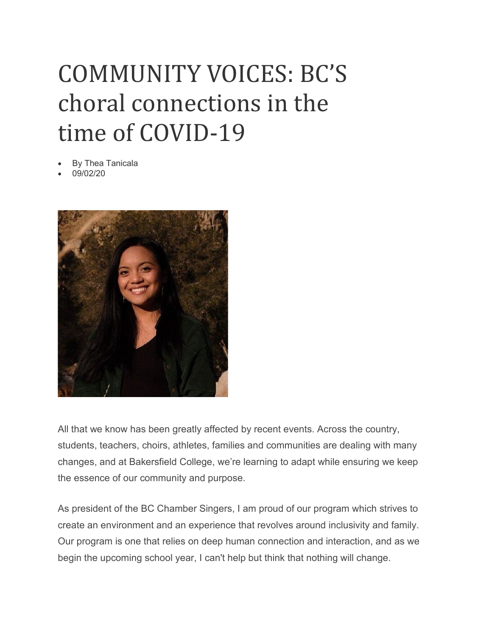## COMMUNITY VOICES: BC'S choral connections in the time of COVID-19

- By Thea Tanicala
- 09/02/20



All that we know has been greatly affected by recent events. Across the country, students, teachers, choirs, athletes, families and communities are dealing with many changes, and at Bakersfield College, we're learning to adapt while ensuring we keep the essence of our community and purpose.

As president of the BC Chamber Singers, I am proud of our program which strives to create an environment and an experience that revolves around inclusivity and family. Our program is one that relies on deep human connection and interaction, and as we begin the upcoming school year, I can't help but think that nothing will change.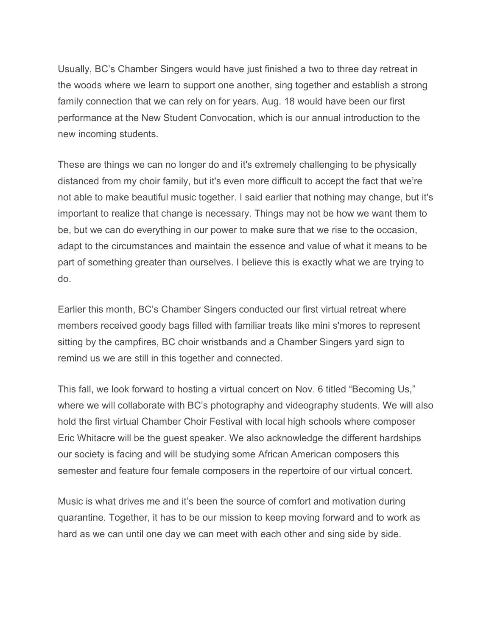Usually, BC's Chamber Singers would have just finished a two to three day retreat in the woods where we learn to support one another, sing together and establish a strong family connection that we can rely on for years. Aug. 18 would have been our first performance at the New Student Convocation, which is our annual introduction to the new incoming students.

These are things we can no longer do and it's extremely challenging to be physically distanced from my choir family, but it's even more difficult to accept the fact that we're not able to make beautiful music together. I said earlier that nothing may change, but it's important to realize that change is necessary. Things may not be how we want them to be, but we can do everything in our power to make sure that we rise to the occasion, adapt to the circumstances and maintain the essence and value of what it means to be part of something greater than ourselves. I believe this is exactly what we are trying to do.

Earlier this month, BC's Chamber Singers conducted our first virtual retreat where members received goody bags filled with familiar treats like mini s'mores to represent sitting by the campfires, BC choir wristbands and a Chamber Singers yard sign to remind us we are still in this together and connected.

This fall, we look forward to hosting a virtual concert on Nov. 6 titled "Becoming Us," where we will collaborate with BC's photography and videography students. We will also hold the first virtual Chamber Choir Festival with local high schools where composer Eric Whitacre will be the guest speaker. We also acknowledge the different hardships our society is facing and will be studying some African American composers this semester and feature four female composers in the repertoire of our virtual concert.

Music is what drives me and it's been the source of comfort and motivation during quarantine. Together, it has to be our mission to keep moving forward and to work as hard as we can until one day we can meet with each other and sing side by side.